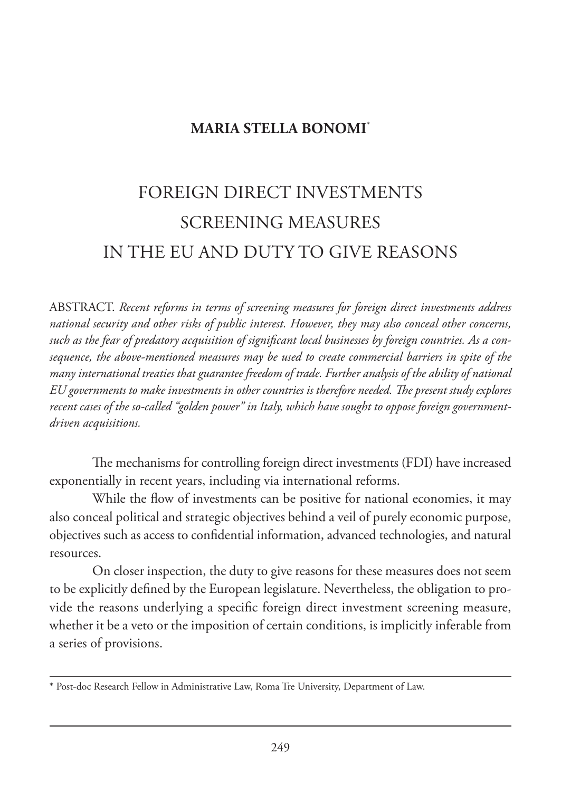## **MARIA STELLA BONOMI**\*

## FOREIGN DIRECT INVESTMENTS SCREENING MEASURES IN THE EU AND DUTY TO GIVE REASONS

ABSTRACT. *Recent reforms in terms of screening measures for foreign direct investments address national security and other risks of public interest. However, they may also conceal other concerns, such as the fear of predatory acquisition of significant local businesses by foreign countries. As a consequence, the above-mentioned measures may be used to create commercial barriers in spite of the many international treaties that guarantee freedom of trade. Further analysis of the ability of national EU governments to make investments in other countries is therefore needed. The present study explores recent cases of the so-called "golden power" in Italy, which have sought to oppose foreign governmentdriven acquisitions.*

The mechanisms for controlling foreign direct investments (FDI) have increased exponentially in recent years, including via international reforms.

While the flow of investments can be positive for national economies, it may also conceal political and strategic objectives behind a veil of purely economic purpose, objectives such as access to confidential information, advanced technologies, and natural resources.

On closer inspection, the duty to give reasons for these measures does not seem to be explicitly defined by the European legislature. Nevertheless, the obligation to provide the reasons underlying a specific foreign direct investment screening measure, whether it be a veto or the imposition of certain conditions, is implicitly inferable from a series of provisions.

<sup>\*</sup> Post-doc Research Fellow in Administrative Law, Roma Tre University, Department of Law.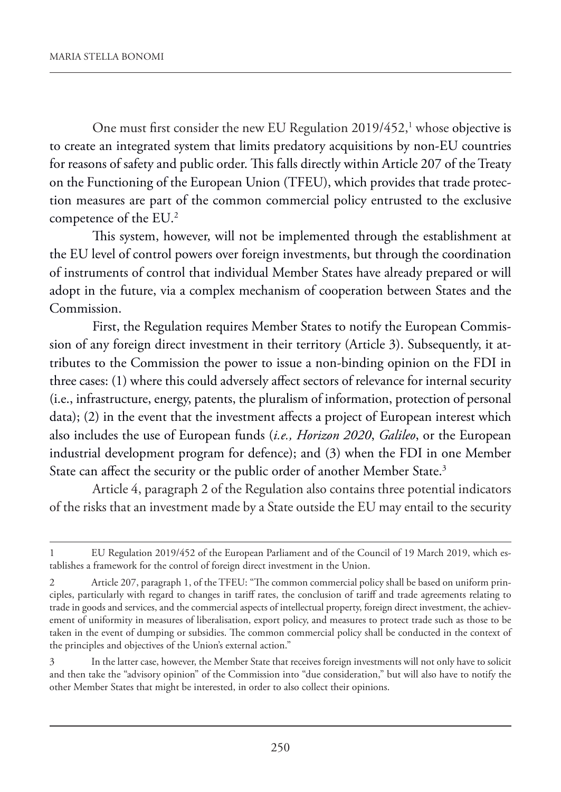One must first consider the new EU Regulation 2019/452, $^1$  whose objective is to create an integrated system that limits predatory acquisitions by non-EU countries for reasons of safety and public order. This falls directly within Article 207 of the Treaty on the Functioning of the European Union (TFEU), which provides that trade protection measures are part of the common commercial policy entrusted to the exclusive competence of the EU.2

This system, however, will not be implemented through the establishment at the EU level of control powers over foreign investments, but through the coordination of instruments of control that individual Member States have already prepared or will adopt in the future, via a complex mechanism of cooperation between States and the Commission.

First, the Regulation requires Member States to notify the European Commission of any foreign direct investment in their territory (Article 3). Subsequently, it attributes to the Commission the power to issue a non-binding opinion on the FDI in three cases: (1) where this could adversely affect sectors of relevance for internal security (i.e., infrastructure, energy, patents, the pluralism of information, protection of personal data); (2) in the event that the investment affects a project of European interest which also includes the use of European funds (*i.e., Horizon 2020*, *Galileo*, or the European industrial development program for defence); and (3) when the FDI in one Member State can affect the security or the public order of another Member State.<sup>3</sup>

Article 4, paragraph 2 of the Regulation also contains three potential indicators of the risks that an investment made by a State outside the EU may entail to the security

<sup>1</sup> EU Regulation 2019/452 of the European Parliament and of the Council of 19 March 2019, which establishes a framework for the control of foreign direct investment in the Union.

<sup>2</sup> Article 207, paragraph 1, of the TFEU: "The common commercial policy shall be based on uniform principles, particularly with regard to changes in tariff rates, the conclusion of tariff and trade agreements relating to trade in goods and services, and the commercial aspects of intellectual property, foreign direct investment, the achievement of uniformity in measures of liberalisation, export policy, and measures to protect trade such as those to be taken in the event of dumping or subsidies. The common commercial policy shall be conducted in the context of the principles and objectives of the Union's external action."

<sup>3</sup> In the latter case, however, the Member State that receives foreign investments will not only have to solicit and then take the "advisory opinion" of the Commission into "due consideration," but will also have to notify the other Member States that might be interested, in order to also collect their opinions.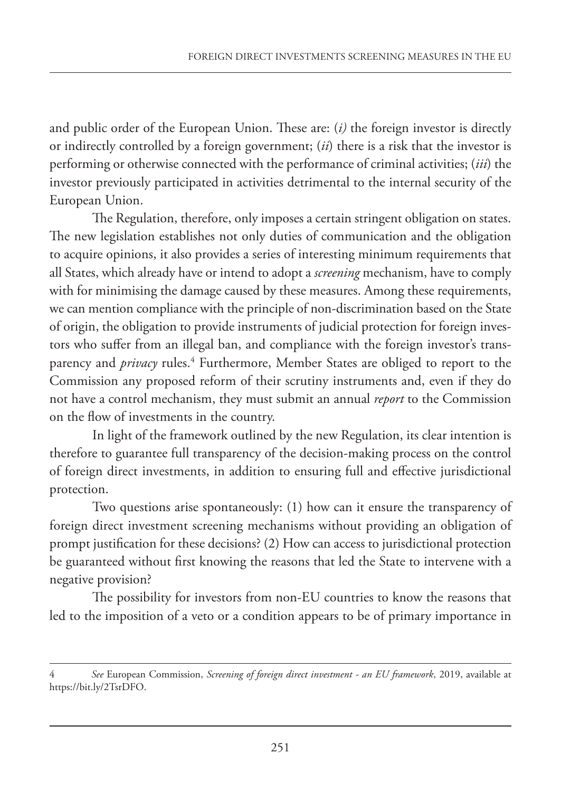and public order of the European Union. These are: (*i)* the foreign investor is directly or indirectly controlled by a foreign government; (*ii*) there is a risk that the investor is performing or otherwise connected with the performance of criminal activities; (*iii*) the investor previously participated in activities detrimental to the internal security of the European Union.

The Regulation, therefore, only imposes a certain stringent obligation on states. The new legislation establishes not only duties of communication and the obligation to acquire opinions, it also provides a series of interesting minimum requirements that all States, which already have or intend to adopt a *screening* mechanism, have to comply with for minimising the damage caused by these measures. Among these requirements, we can mention compliance with the principle of non-discrimination based on the State of origin, the obligation to provide instruments of judicial protection for foreign investors who suffer from an illegal ban, and compliance with the foreign investor's transparency and *privacy* rules.<sup>4</sup> Furthermore, Member States are obliged to report to the Commission any proposed reform of their scrutiny instruments and, even if they do not have a control mechanism, they must submit an annual *report* to the Commission on the flow of investments in the country.

In light of the framework outlined by the new Regulation, its clear intention is therefore to guarantee full transparency of the decision-making process on the control of foreign direct investments, in addition to ensuring full and effective jurisdictional protection.

Two questions arise spontaneously: (1) how can it ensure the transparency of foreign direct investment screening mechanisms without providing an obligation of prompt justification for these decisions? (2) How can access to jurisdictional protection be guaranteed without first knowing the reasons that led the State to intervene with a negative provision?

The possibility for investors from non-EU countries to know the reasons that led to the imposition of a veto or a condition appears to be of primary importance in

<sup>4</sup> *See* European Commission, *Screening of foreign direct investment - an EU framework*, 2019, available at https://bit.ly/2TsrDFO.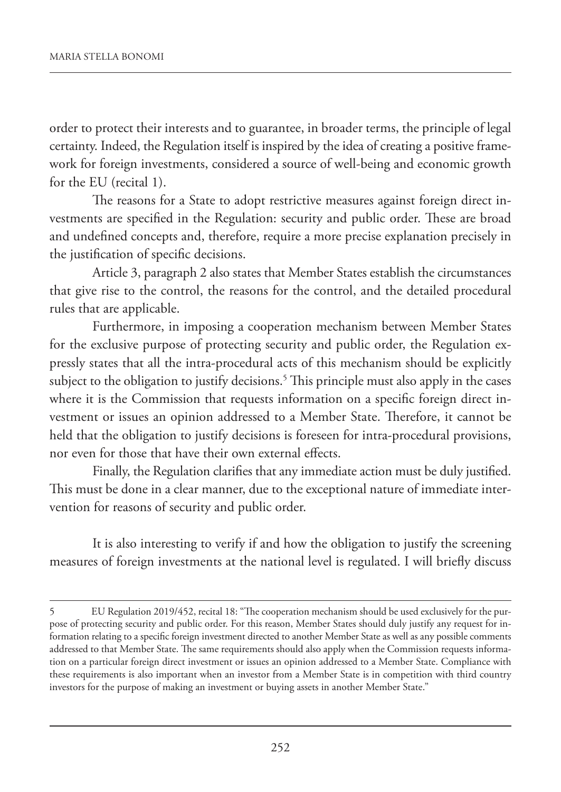order to protect their interests and to guarantee, in broader terms, the principle of legal certainty. Indeed, the Regulation itself is inspired by the idea of creating a positive framework for foreign investments, considered a source of well-being and economic growth for the EU (recital 1).

The reasons for a State to adopt restrictive measures against foreign direct investments are specified in the Regulation: security and public order. These are broad and undefined concepts and, therefore, require a more precise explanation precisely in the justification of specific decisions.

Article 3, paragraph 2 also states that Member States establish the circumstances that give rise to the control, the reasons for the control, and the detailed procedural rules that are applicable.

Furthermore, in imposing a cooperation mechanism between Member States for the exclusive purpose of protecting security and public order, the Regulation expressly states that all the intra-procedural acts of this mechanism should be explicitly subject to the obligation to justify decisions. $^5$  This principle must also apply in the cases where it is the Commission that requests information on a specific foreign direct investment or issues an opinion addressed to a Member State. Therefore, it cannot be held that the obligation to justify decisions is foreseen for intra-procedural provisions, nor even for those that have their own external effects.

Finally, the Regulation clarifies that any immediate action must be duly justified. This must be done in a clear manner, due to the exceptional nature of immediate intervention for reasons of security and public order.

It is also interesting to verify if and how the obligation to justify the screening measures of foreign investments at the national level is regulated. I will briefly discuss

<sup>5</sup> EU Regulation 2019/452, recital 18: "The cooperation mechanism should be used exclusively for the purpose of protecting security and public order. For this reason, Member States should duly justify any request for information relating to a specific foreign investment directed to another Member State as well as any possible comments addressed to that Member State. The same requirements should also apply when the Commission requests information on a particular foreign direct investment or issues an opinion addressed to a Member State. Compliance with these requirements is also important when an investor from a Member State is in competition with third country investors for the purpose of making an investment or buying assets in another Member State."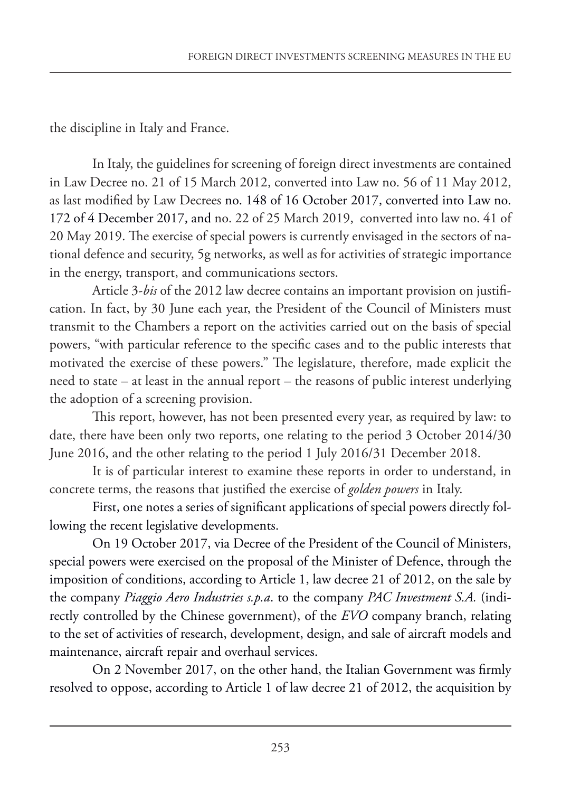the discipline in Italy and France.

In Italy, the guidelines for screening of foreign direct investments are contained in Law Decree no. 21 of 15 March 2012, converted into Law no. 56 of 11 May 2012, as last modified by Law Decrees no. 148 of 16 October 2017, converted into Law no. 172 of 4 December 2017, and no. 22 of 25 March 2019, converted into law no. 41 of 20 May 2019. The exercise of special powers is currently envisaged in the sectors of national defence and security, 5g networks, as well as for activities of strategic importance in the energy, transport, and communications sectors.

Article 3-*bis* of the 2012 law decree contains an important provision on justification. In fact, by 30 June each year, the President of the Council of Ministers must transmit to the Chambers a report on the activities carried out on the basis of special powers, "with particular reference to the specific cases and to the public interests that motivated the exercise of these powers." The legislature, therefore, made explicit the need to state – at least in the annual report – the reasons of public interest underlying the adoption of a screening provision.

This report, however, has not been presented every year, as required by law: to date, there have been only two reports, one relating to the period 3 October 2014/30 June 2016, and the other relating to the period 1 July 2016/31 December 2018.

It is of particular interest to examine these reports in order to understand, in concrete terms, the reasons that justified the exercise of *golden powers* in Italy.

First, one notes a series of significant applications of special powers directly following the recent legislative developments.

On 19 October 2017, via Decree of the President of the Council of Ministers, special powers were exercised on the proposal of the Minister of Defence, through the imposition of conditions, according to Article 1, law decree 21 of 2012, on the sale by the company *Piaggio Aero Industries s.p.a*. to the company *PAC Investment S.A.* (indirectly controlled by the Chinese government), of the *EVO* company branch, relating to the set of activities of research, development, design, and sale of aircraft models and maintenance, aircraft repair and overhaul services.

On 2 November 2017, on the other hand, the Italian Government was firmly resolved to oppose, according to Article 1 of law decree 21 of 2012, the acquisition by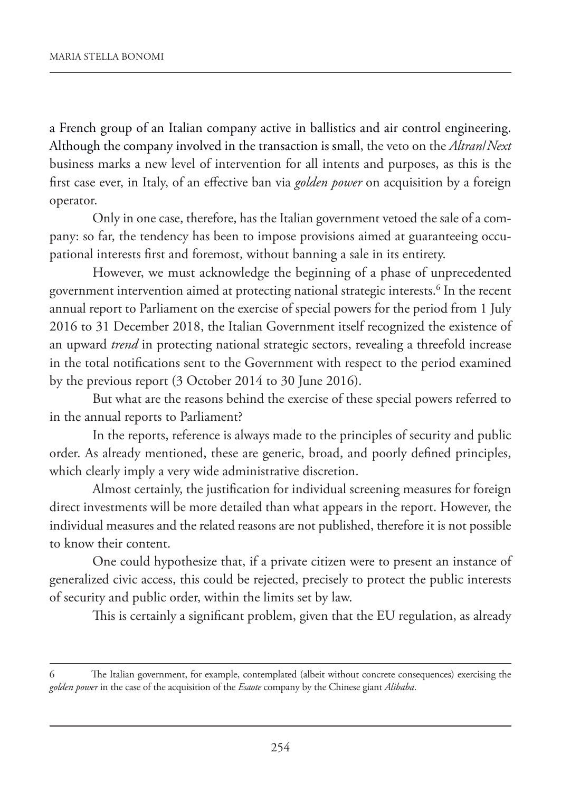a French group of an Italian company active in ballistics and air control engineering. Although the company involved in the transaction is small, the veto on the *Altran*/*Next* business marks a new level of intervention for all intents and purposes, as this is the first case ever, in Italy, of an effective ban via *golden power* on acquisition by a foreign operator.

Only in one case, therefore, has the Italian government vetoed the sale of a company: so far, the tendency has been to impose provisions aimed at guaranteeing occupational interests first and foremost, without banning a sale in its entirety.

However, we must acknowledge the beginning of a phase of unprecedented government intervention aimed at protecting national strategic interests.<sup>6</sup> In the recent annual report to Parliament on the exercise of special powers for the period from 1 July 2016 to 31 December 2018, the Italian Government itself recognized the existence of an upward *trend* in protecting national strategic sectors, revealing a threefold increase in the total notifications sent to the Government with respect to the period examined by the previous report (3 October 2014 to 30 June 2016).

But what are the reasons behind the exercise of these special powers referred to in the annual reports to Parliament?

In the reports, reference is always made to the principles of security and public order. As already mentioned, these are generic, broad, and poorly defined principles, which clearly imply a very wide administrative discretion.

Almost certainly, the justification for individual screening measures for foreign direct investments will be more detailed than what appears in the report. However, the individual measures and the related reasons are not published, therefore it is not possible to know their content.

One could hypothesize that, if a private citizen were to present an instance of generalized civic access, this could be rejected, precisely to protect the public interests of security and public order, within the limits set by law.

This is certainly a significant problem, given that the EU regulation, as already

The Italian government, for example, contemplated (albeit without concrete consequences) exercising the *golden power* in the case of the acquisition of the *Esaote* company by the Chinese giant *Alibaba*.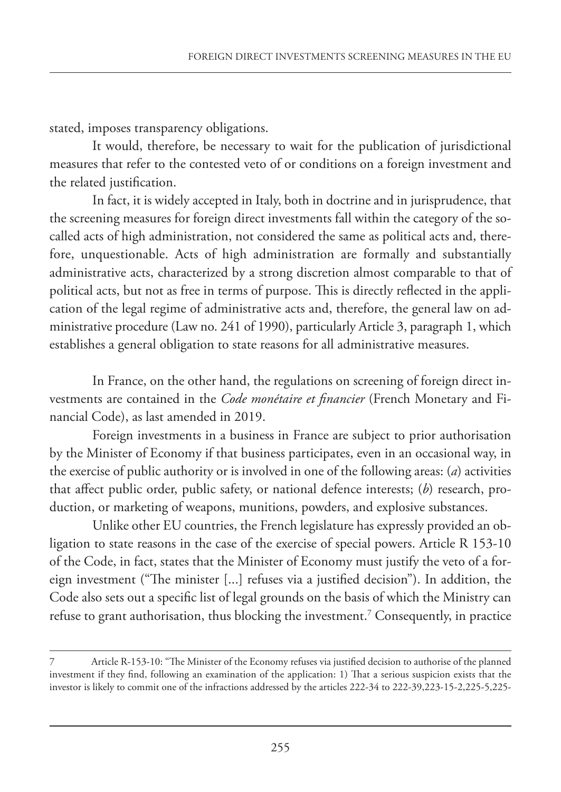stated, imposes transparency obligations.

It would, therefore, be necessary to wait for the publication of jurisdictional measures that refer to the contested veto of or conditions on a foreign investment and the related justification.

In fact, it is widely accepted in Italy, both in doctrine and in jurisprudence, that the screening measures for foreign direct investments fall within the category of the socalled acts of high administration, not considered the same as political acts and, therefore, unquestionable. Acts of high administration are formally and substantially administrative acts, characterized by a strong discretion almost comparable to that of political acts, but not as free in terms of purpose. This is directly reflected in the application of the legal regime of administrative acts and, therefore, the general law on administrative procedure (Law no. 241 of 1990), particularly Article 3, paragraph 1, which establishes a general obligation to state reasons for all administrative measures.

In France, on the other hand, the regulations on screening of foreign direct investments are contained in the *Code monétaire et financier* (French Monetary and Financial Code), as last amended in 2019.

Foreign investments in a business in France are subject to prior authorisation by the Minister of Economy if that business participates, even in an occasional way, in the exercise of public authority or is involved in one of the following areas: (*a*) activities that affect public order, public safety, or national defence interests; (*b*) research, production, or marketing of weapons, munitions, powders, and explosive substances.

Unlike other EU countries, the French legislature has expressly provided an obligation to state reasons in the case of the exercise of special powers. Article R 153-10 of the Code, in fact, states that the Minister of Economy must justify the veto of a foreign investment ("The minister [...] refuses via a justified decision"). In addition, the Code also sets out a specific list of legal grounds on the basis of which the Ministry can refuse to grant authorisation, thus blocking the investment. $^7$  Consequently, in practice

<sup>7</sup> Article R-153-10: "The Minister of the Economy refuses via justified decision to authorise of the planned investment if they find, following an examination of the application: 1) That a serious suspicion exists that the investor is likely to commit one of the infractions addressed by the articles 222-34 to 222-39,223-15-2,225-5,225-